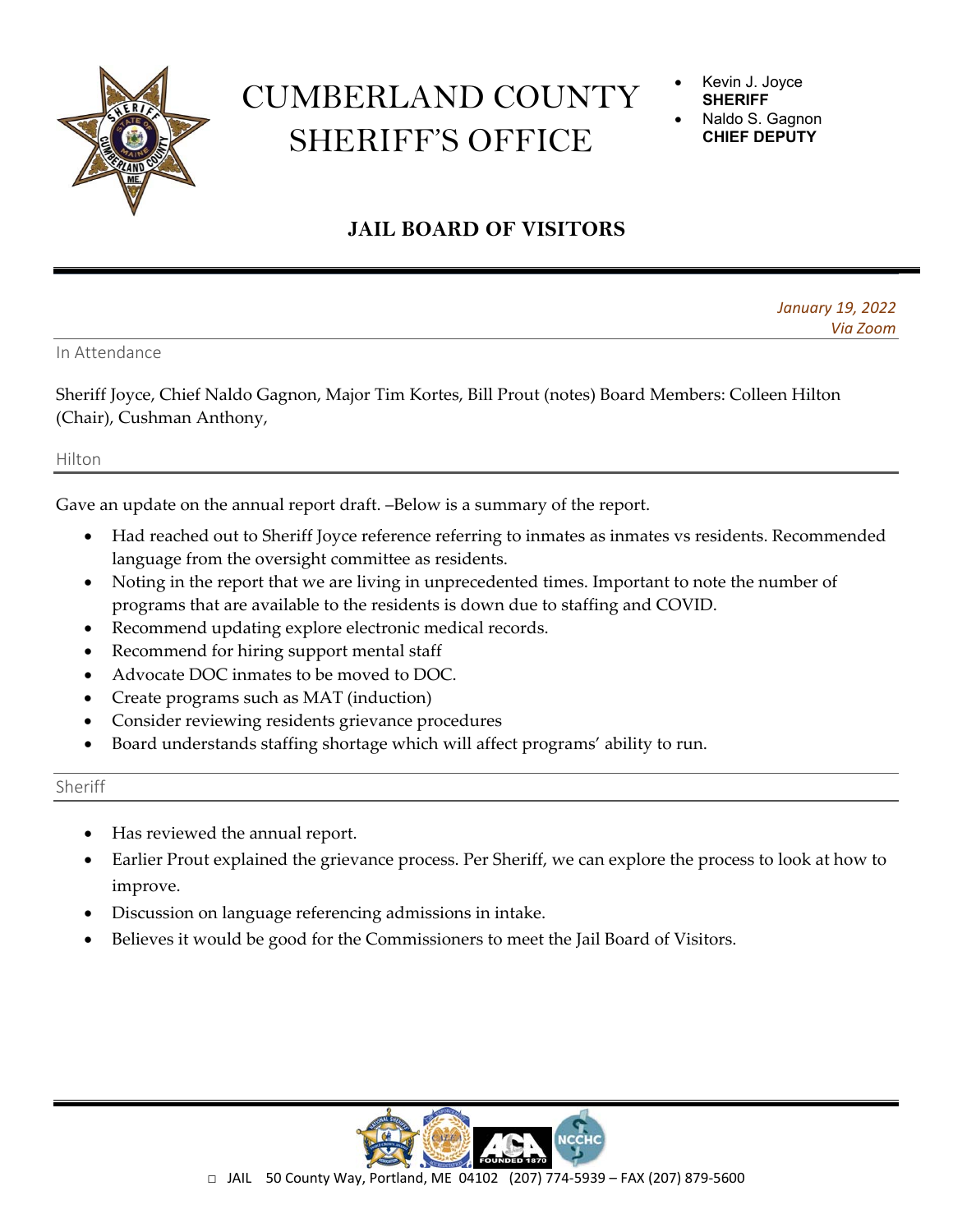

## CUMBERLAND COUNTY SHERIFF'S OFFICE

 Kevin J. Joyce **SHERIFF** 

 Naldo S. Gagnon **CHIEF DEPUTY** 

## **JAIL BOARD OF VISITORS**

*January 19, 2022 Via Zoom*

In Attendance

Sheriff Joyce, Chief Naldo Gagnon, Major Tim Kortes, Bill Prout (notes) Board Members: Colleen Hilton (Chair), Cushman Anthony,

## Hilton

Gave an update on the annual report draft. –Below is a summary of the report.

- Had reached out to Sheriff Joyce reference referring to inmates as inmates vs residents. Recommended language from the oversight committee as residents.
- Noting in the report that we are living in unprecedented times. Important to note the number of programs that are available to the residents is down due to staffing and COVID.
- Recommend updating explore electronic medical records.
- Recommend for hiring support mental staff
- Advocate DOC inmates to be moved to DOC.
- Create programs such as MAT (induction)
- Consider reviewing residents grievance procedures
- Board understands staffing shortage which will affect programs' ability to run.

## Sheriff

- Has reviewed the annual report.
- Earlier Prout explained the grievance process. Per Sheriff, we can explore the process to look at how to improve.
- Discussion on language referencing admissions in intake.
- Believes it would be good for the Commissioners to meet the Jail Board of Visitors.